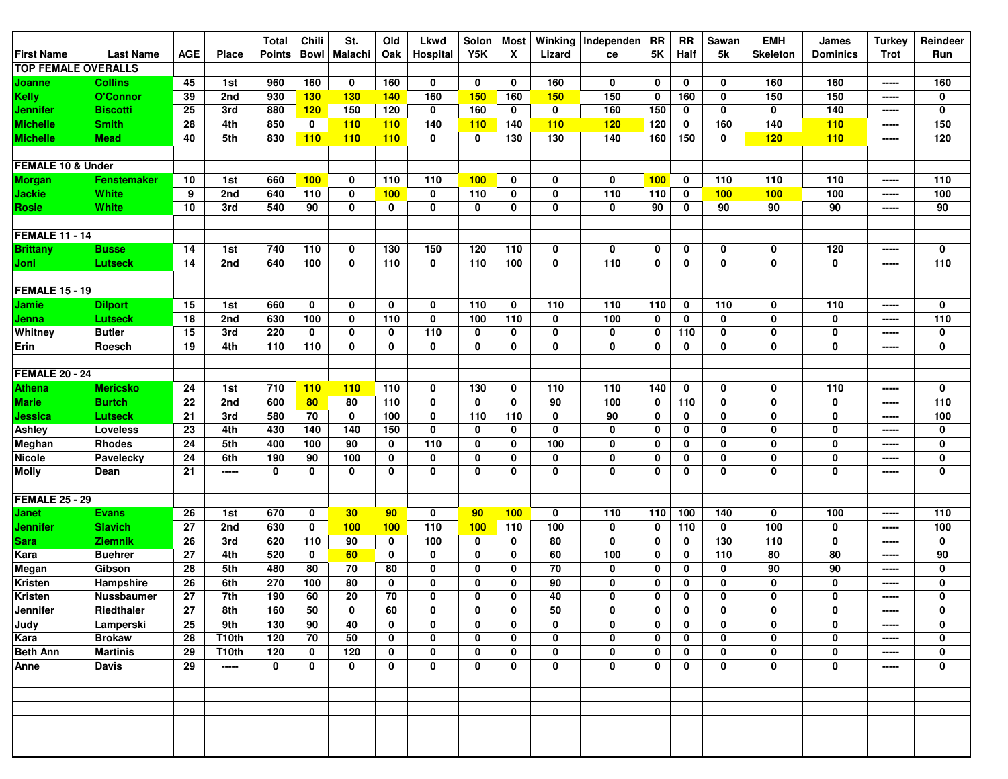|                            |                   |            |              | <b>Total</b>  | Chili        | St.            | Old         | Lkwd        | Solon       | Most     | Winking    | Independen  | <b>RR</b>   | <b>RR</b>    | Sawan       | <b>EMH</b>      | James           | <b>Turkey</b>                            | Reindeer    |
|----------------------------|-------------------|------------|--------------|---------------|--------------|----------------|-------------|-------------|-------------|----------|------------|-------------|-------------|--------------|-------------|-----------------|-----------------|------------------------------------------|-------------|
| First Name                 | <b>Last Name</b>  | <b>AGE</b> | <b>Place</b> | <b>Points</b> | <b>Bowl</b>  | <b>Malachi</b> | Oak         | Hospital    | Y5K         | X        | Lizard     | ce          | 5K          | Half         | 5k          | <b>Skeleton</b> | <b>Dominics</b> | <b>Trot</b>                              | Run         |
| <b>TOP FEMALE OVERALLS</b> |                   |            |              |               |              |                |             |             |             |          |            |             |             |              |             |                 |                 |                                          |             |
| Joanne                     | <b>Collins</b>    | 45         | 1st          | 960           | 160          | 0              | 160         | $\mathbf 0$ | 0           | 0        | 160        | $\mathbf 0$ | $\mathbf 0$ | 0            | 0           | 160             | 160             | -----                                    | 160         |
| Kelly                      | O'Connor          | 39         | 2nd          | 930           | 130          | <b>130</b>     | <b>140</b>  | 160         | 150         | 160      | <b>150</b> | 150         | 0           | 160          | 0           | 150             | 150             | -----                                    | 0           |
| Jennifer                   | <b>Biscotti</b>   | 25         | 3rd          | 880           | 120          | 150            | 120         | 0           | 160         | 0        | 0          | 160         | 150         | 0            | 0           | 0               | 140             | -----                                    | $\mathbf 0$ |
| <b>Michelle</b>            | <b>Smith</b>      | 28         | 4th          | 850           | 0            | 110            | 110         | 140         | <b>110</b>  | 140      | 110        | 120         | 120         | 0            | 160         | 140             | 110             | -----                                    | 150         |
| <b>Michelle</b>            | <b>Mead</b>       | 40         | 5th          | 830           | 110          | 110            | 110         | 0           | $\mathbf 0$ | 130      | 130        | 140         | 160         | 150          | 0           | 120             | 110             | -----                                    | 120         |
|                            |                   |            |              |               |              |                |             |             |             |          |            |             |             |              |             |                 |                 |                                          |             |
| FEMALE 10 & Under          |                   |            |              |               |              |                |             |             |             |          |            |             |             |              |             |                 |                 |                                          |             |
| <b>Morgan</b>              | Fenstemaker       | 10         | 1st          | 660           | 100          | $\mathbf 0$    | 110         | 110         | 100         | 0        | 0          | $\mathbf 0$ | 100         | 0            | 110         | 110             | 110             | -----                                    | 110         |
| <b>Jackie</b>              | White             | 9          | 2nd          | 640           | 110          | $\mathbf 0$    | 100         | $\mathbf 0$ | 110         | 0        | 0          | 110         | 110         | $\mathbf 0$  | 100         | 100             | 100             | -----                                    | 100         |
| <b>Rosie</b>               | <b>White</b>      | 10         | 3rd          | 540           | 90           | $\mathbf 0$    | 0           | 0           | 0           | 0        | 0          | $\mathbf 0$ | 90          | 0            | 90          | 90              | 90              | -----                                    | 90          |
|                            |                   |            |              |               |              |                |             |             |             |          |            |             |             |              |             |                 |                 |                                          |             |
| <b>FEMALE 11 - 14</b>      |                   |            |              |               |              |                |             |             |             |          |            |             |             |              |             |                 |                 |                                          |             |
| <b>Brittany</b>            | <b>Busse</b>      | 14         | 1st          | 740           | 110          | 0              | 130         | 150         | 120         | 110      | 0          | $\mathbf 0$ | $\mathbf 0$ | 0            | 0           | 0               | 120             | -----                                    | 0           |
| Joni                       | <b>Lutseck</b>    | 14         | 2nd          | 640           | 100          | $\bf{0}$       | 110         | $\mathbf 0$ | 110         | 100      | 0          | 110         | 0           | 0            | 0           | $\bf{0}$        | 0               | -----                                    | 110         |
|                            |                   |            |              |               |              |                |             |             |             |          |            |             |             |              |             |                 |                 |                                          |             |
| <b>FEMALE 15 - 19</b>      |                   |            |              |               |              |                |             |             |             |          |            |             |             |              |             |                 |                 |                                          |             |
| Jamie                      | <b>Dilport</b>    | 15         | 1st          | 660           | 0            | 0              | 0           | 0           | 110         | 0        | 110        | 110         | 110         | $\mathbf 0$  | 110         | 0               | 110             | -----                                    | 0           |
| Jenna                      | Lutseck           | 18         | 2nd          | 630           | 100          | $\mathbf 0$    | 110         | $\mathbf 0$ | 100         | 110      | 0          | 100         | 0           | 0            | 0           | $\bf{0}$        | 0               | -----                                    | 110         |
| Whitney                    | <b>Butler</b>     | 15         | 3rd          | 220           | 0            | $\mathbf 0$    | 0           | 110         | 0           | 0        | 0          | 0           | 0           | 110          | 0           | 0               | 0               | -----                                    | 0           |
| Erin                       | Roesch            | 19         | 4th          | 110           | 110          | $\mathbf 0$    | 0           | $\mathbf 0$ | 0           | 0        | 0          | $\mathbf 0$ | $\mathbf 0$ | 0            | 0           | $\mathbf 0$     | 0               | -----                                    | 0           |
|                            |                   |            |              |               |              |                |             |             |             |          |            |             |             |              |             |                 |                 |                                          |             |
| <b>FEMALE 20 - 24</b>      |                   |            |              |               |              |                |             |             |             |          |            |             |             |              |             |                 |                 |                                          |             |
| <b>Athena</b>              | <b>Mericsko</b>   | 24         | 1st          | 710           | 110          | 110            | 110         | 0           | 130         | 0        | 110        | 110         | 140         | $\mathbf 0$  | 0           | 0               | 110             | -----                                    | 0           |
| <b>Marie</b>               | <b>Burtch</b>     | 22         | 2nd          | 600           | 80           | 80             | 110         | 0           | 0           | 0        | 90         | 100         | 0           | 110          | 0           | $\mathbf 0$     | 0               | -----                                    | 110         |
| Jessica                    | <b>Lutseck</b>    | 21         | 3rd          | 580           | 70           | 0              | 100         | $\mathbf 0$ | 110         | 110      | 0          | 90          | 0           | 0            | 0           | $\mathbf 0$     | 0               | -----                                    | 100         |
| Ashley                     | Loveless          | 23         | 4th          | 430           | 140          | 140            | 150         | 0           | 0           | 0        | 0          | 0           | 0           | 0            | 0           | 0               | 0               | -----                                    | 0           |
| Meghan                     | <b>Rhodes</b>     | 24         | 5th          | 400           | 100          | 90             | 0           | 110         | 0           | 0        | 100        | $\mathbf 0$ | 0           | 0            | 0           | $\mathbf 0$     | 0               |                                          | 0           |
| <b>Nicole</b>              | Pavelecky         | 24         | 6th          | 190           | 90           | 100            | 0           | $\mathbf 0$ | 0           | 0        | 0          | $\mathbf 0$ | 0           | 0            | 0           | $\mathbf 0$     | 0               | -----                                    | $\pmb{0}$   |
| <b>Molly</b>               | Dean              | 21         | -----        | 0             | 0            | 0              | 0           | 0           | 0           | 0        | 0          | 0           | 0           | 0            | 0           | $\mathbf 0$     | 0               | -----                                    | $\pmb{0}$   |
|                            |                   |            |              |               |              |                |             |             |             |          |            |             |             |              |             |                 |                 |                                          |             |
| <b>FEMALE 25 - 29</b>      |                   |            |              |               |              |                |             |             |             |          |            |             |             |              |             |                 |                 |                                          |             |
| Janet                      | <b>Evans</b>      | 26         | 1st          | 670           | 0            | 30             | 90          | $\mathbf 0$ | 90          | 100      | 0          | 110         | 110         | 100          | 140         | 0               | 100             | -----                                    | 110         |
| Jennifer                   | <b>Slavich</b>    | 27         | 2nd          | 630           | $\mathbf{0}$ | 100            | 100         | 110         | 100         | 110      | 100        | $\mathbf 0$ | 0           | 110          | $\mathbf 0$ | 100             | 0               | -----                                    | 100         |
| <b>Sara</b>                | <b>Ziemnik</b>    | 26         | 3rd          | 620           | 110          | 90             | 0           | 100         | 0           | 0        | 80         | $\mathbf 0$ | 0           | 0            | 130         | 110             | $\mathbf 0$     | -----                                    | $\pmb{0}$   |
| Kara                       | <b>Buehrer</b>    | 27         | 4th          | 520           | 0            | 60             | 0           | 0           | 0           | 0        | 60         | 100         | 0           | 0            | 110         | 80              | 80              | -----                                    | 90          |
| Megan                      | Gibson            | 28         | 5th          | 480           | 80           | 70             | 80          | 0           | 0           | 0        | 70         | 0           | 0           | 0            | 0           | 90              | 90              | -----                                    | 0           |
| Kristen                    | Hampshire         | 26         | 6th          | 270           | 100          | 80             | 0           | 0           | 0           | 0        | 90         | 0           | 0           | 0            | 0           | $\mathbf 0$     | 0               | -----                                    | $\mathbf 0$ |
| Kristen                    | <b>Nussbaumer</b> | 27         | 7th          | 190           | 60           | 20             | 70          | 0           | 0           | $\bf{0}$ | 40         | $\bf{0}$    | 0           | $\mathbf{0}$ | $\bf{0}$    | $\mathbf 0$     | $\mathbf 0$     | -----                                    | $\bf{0}$    |
| Jennifer                   | Riedthaler        | 27         | 8th          | 160           | 50           | 0              | 60          | $\mathbf 0$ | $\mathbf 0$ | 0        | 50         | $\mathbf 0$ | $\mathbf 0$ | 0            | 0           | 0               | 0               | $\begin{array}{c} \textbf{} \end{array}$ | 0           |
| Judy                       | Lamperski         | 25         | 9th          | 130           | 90           | 40             | $\mathbf 0$ | $\mathbf 0$ | 0           | 0        | 0          | $\mathbf 0$ | $\mathbf 0$ | 0            | 0           | $\mathbf 0$     | 0               | -----                                    | $\pmb{0}$   |
| Kara                       | <b>Brokaw</b>     | 28         | T10th        | 120           | 70           | 50             | $\mathbf 0$ | 0           | 0           | 0        | 0          | 0           | $\mathbf 0$ | 0            | 0           | 0               | 0               | -----                                    | $\pmb{0}$   |
| <b>Beth Ann</b>            | <b>Martinis</b>   | 29         | T10th        | 120           | 0            | 120            | 0           | 0           | 0           | 0        | 0          | 0           | $\mathbf 0$ | 0            | 0           | 0               | 0               | -----                                    | 0           |
| Anne                       | Davis             | 29         | -----        | 0             | 0            | 0              | 0           | 0           | 0           | 0        | 0          | 0           | $\mathbf 0$ | 0            | 0           | $\pmb{0}$       | $\mathbf 0$     | -----                                    | $\pmb{0}$   |
|                            |                   |            |              |               |              |                |             |             |             |          |            |             |             |              |             |                 |                 |                                          |             |
|                            |                   |            |              |               |              |                |             |             |             |          |            |             |             |              |             |                 |                 |                                          |             |
|                            |                   |            |              |               |              |                |             |             |             |          |            |             |             |              |             |                 |                 |                                          |             |
|                            |                   |            |              |               |              |                |             |             |             |          |            |             |             |              |             |                 |                 |                                          |             |
|                            |                   |            |              |               |              |                |             |             |             |          |            |             |             |              |             |                 |                 |                                          |             |
|                            |                   |            |              |               |              |                |             |             |             |          |            |             |             |              |             |                 |                 |                                          |             |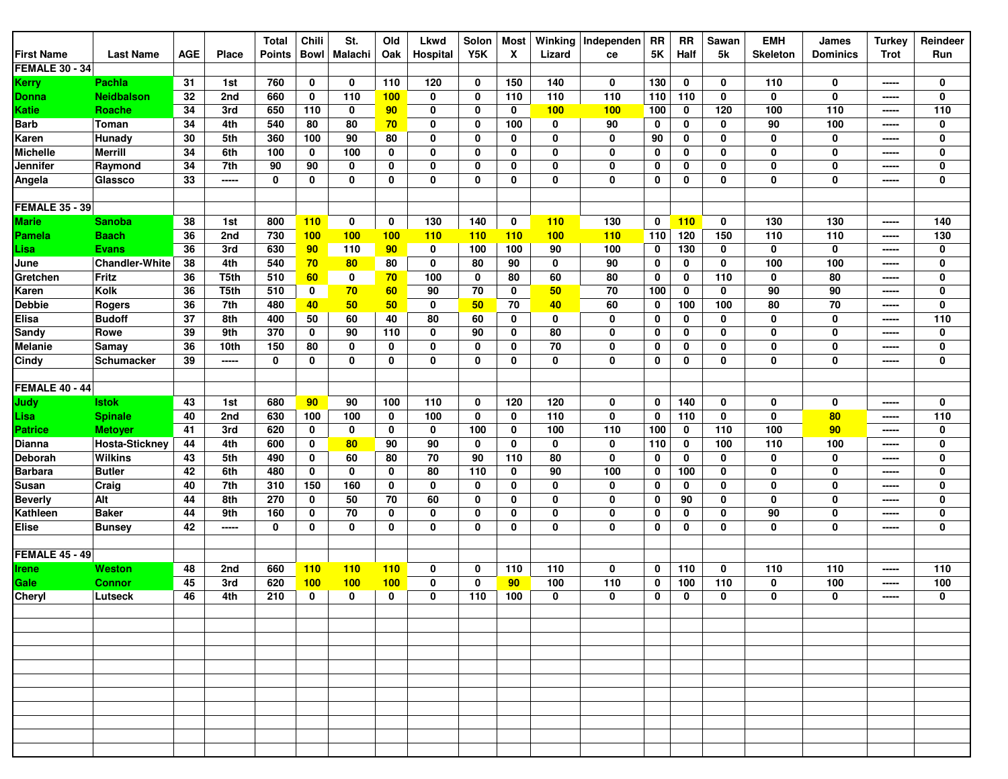|                        |                       |            |              | <b>Total</b>  | Chili        | St.         | Old | <b>Lkwd</b> | Solon       | <b>Most</b> | Winking | Independen  | RR          | <b>RR</b>   | Sawan       | <b>EMH</b>      | James           | <b>Turkey</b>  | Reindeer    |
|------------------------|-----------------------|------------|--------------|---------------|--------------|-------------|-----|-------------|-------------|-------------|---------|-------------|-------------|-------------|-------------|-----------------|-----------------|----------------|-------------|
| <b>First Name</b>      | <b>Last Name</b>      | <b>AGE</b> | <b>Place</b> | <b>Points</b> | Bowl         | Malachi     | Oak | Hospital    | Y5K         | X           | Lizard  | ce          | <b>5K</b>   | Half        | 5k          | <b>Skeleton</b> | <b>Dominics</b> | <b>Trot</b>    | Run         |
| <b>FEMALE 30 - 34</b>  |                       |            |              |               |              |             |     |             |             |             |         |             |             |             |             |                 |                 |                |             |
| <b>Kerry</b>           | <b>Pachla</b>         | 31         | 1st          | 760           | $\mathbf 0$  | $\bf{0}$    | 110 | 120         | 0           | 150         | 140     | 0           | 130         | $\mathbf 0$ | 0           | 110             | 0               | -----          | $\mathbf 0$ |
| Donna                  | <b>Neidbalson</b>     | 32         | 2nd          | 660           | $\mathbf 0$  | 110         | 100 | $\mathbf 0$ | $\mathbf 0$ | 110         | 110     | 110         | 110         | 110         | $\mathbf 0$ | $\mathbf 0$     | 0               | -----          | 0           |
| Katie                  | <b>Roache</b>         | 34         | 3rd          | 650           | 110          | 0           | 90  | 0           | 0           | 0           | 100     | 100         | 100         | 0           | 120         | 100             | 110             | -----          | 110         |
| <b>Barb</b>            | Toman                 | 34         | 4th          | 540           | 80           | 80          | 70  | 0           | 0           | 100         | 0       | 90          | 0           | 0           | 0           | 90              | 100             | -----          | $\mathbf 0$ |
| Karen                  | Hunady                | 30         | 5th          | 360           | 100          | 90          | 80  | 0           | 0           | 0           | 0       | $\mathbf 0$ | 90          | 0           | 0           | 0               | 0               | -----          | 0           |
| <b>Michelle</b>        | <b>Merrill</b>        | 34         | 6th          | 100           | 0            | 100         | 0   | 0           | $\mathbf 0$ | 0           | 0       | 0           | 0           | 0           | 0           | 0               | 0               | -----          | 0           |
| Jennifer               | Raymond               | 34         | 7th          | 90            | 90           | $\bf{0}$    | 0   | $\mathbf 0$ | 0           | 0           | 0       | $\mathbf 0$ | 0           | 0           | 0           | $\mathbf 0$     | 0               | -----          | 0           |
| Angela                 | Glassco               | 33         | -----        | 0             | 0            | 0           | 0   | 0           | 0           | 0           | 0       | $\mathbf 0$ | 0           | 0           | $\mathbf 0$ | 0               | 0               | -----          | 0           |
|                        |                       |            |              |               |              |             |     |             |             |             |         |             |             |             |             |                 |                 |                |             |
| <b>FEMALE 35 - 39</b>  |                       |            |              |               |              |             |     |             |             |             |         |             |             |             |             |                 |                 |                |             |
| <b>Marie</b>           | <b>Sanoba</b>         | 38         | 1st          | 800           | 110          | 0           | 0   | 130         | 140         | 0           | 110     | 130         | 0           | 110         | $\mathbf 0$ | 130             | 130             | -----          | 140         |
| <b>Pamela</b>          | <b>Baach</b>          | 36         | 2nd          | 730           | 100          | 100         | 100 | 110         | 110         | 110         | 100     | 110         | 110         | 120         | 150         | 110             | 110             | -----          | 130         |
| Lisa                   | <b>Evans</b>          | 36         | 3rd          | 630           | 90           | 110         | 90  | 0           | 100         | 100         | 90      | 100         | 0           | 130         | 0           | 0               | 0               | -----          | 0           |
| June                   | <b>Chandler-White</b> | 38         | 4th          | 540           | 70           | 80          | 80  | 0           | 80          | 90          | 0       | 90          | 0           | 0           | 0           | 100             | 100             |                | 0           |
| Gretchen               | <b>Fritz</b>          | 36         | T5th         | 510           | 60           | 0           | 70  | 100         | 0           | 80          | 60      | 80          | 0           | 0           | 110         | 0               | 80              | -----<br>----- | 0           |
|                        | Kolk                  | 36         | T5th         |               |              |             |     | 90          | 70          | 0           |         | 70          |             |             | 0           | 90              | 90              |                | 0           |
| Karen                  |                       | 36         |              | 510           | 0            | 70<br>50    | 60  |             | 50          | 70          | 50      | 60          | 100         | 0<br>100    | 100         | 80              | 70              | -----          | $\mathbf 0$ |
| Debbie<br><b>Elisa</b> | <b>Rogers</b>         |            | 7th          | 480           | 40           |             | 50  | 0           |             |             | 40      |             | 0           |             |             |                 |                 | -----          |             |
|                        | <b>Budoff</b>         | 37         | 8th          | 400           | 50           | 60          | 40  | 80          | 60          | 0           | 0       | $\mathbf 0$ | 0           | 0           | 0           | $\mathbf 0$     | 0               | -----          | 110         |
| Sandy                  | Rowe                  | 39         | 9th          | 370           | 0            | 90          | 110 | $\mathbf 0$ | 90          | 0           | 80      | $\mathbf 0$ | 0           | 0           | 0           | 0               | 0               | -----          | $\mathbf 0$ |
| <b>Melanie</b>         | Samay                 | 36         | 10th         | 150           | 80           | 0           | 0   | 0           | 0           | 0           | 70      | 0           | 0           | 0           | 0           | 0               | 0               | -----          | 0           |
| Cindy                  | Schumacker            | 39         | -----        | 0             | 0            | 0           | 0   | 0           | $\mathbf 0$ | 0           | 0       | $\mathbf 0$ | 0           | 0           | 0           | 0               | 0               | -----          | 0           |
|                        |                       |            |              |               |              |             |     |             |             |             |         |             |             |             |             |                 |                 |                |             |
| <b>FEMALE 40 - 44</b>  |                       |            |              |               |              |             |     |             |             |             |         |             |             |             |             |                 |                 |                |             |
| Judy                   | <b>Istok</b>          | 43         | 1st          | 680           | 90           | 90          | 100 | 110         | 0           | 120         | 120     | 0           | 0           | 140         | 0           | 0               | 0               | -----          | 0           |
| Lisa                   | <b>Spinale</b>        | 40         | 2nd          | 630           | 100          | 100         | 0   | 100         | 0           | 0           | 110     | $\mathbf 0$ | 0           | 110         | 0           | 0               | 80              | -----          | 110         |
| <b>Patrice</b>         | <b>Metoyer</b>        | 41         | 3rd          | 620           | 0            | 0           | 0   | $\mathbf 0$ | 100         | 0           | 100     | 110         | 100         | 0           | 110         | 100             | 90              | -----          | $\mathbf 0$ |
| Dianna                 | <b>Hosta-Sticknev</b> | 44         | 4th          | 600           | 0            | 80          | 90  | 90          | 0           | 0           | 0       | 0           | 110         | 0           | 100         | 110             | 100             | -----          | 0           |
| Deborah                | <b>Wilkins</b>        | 43         | 5th          | 490           | 0            | 60          | 80  | 70          | 90          | 110         | 80      | $\mathbf 0$ | $\mathbf 0$ | $\mathbf 0$ | $\mathbf 0$ | 0               | 0               | -----          | 0           |
| <b>Barbara</b>         | <b>Butler</b>         | 42         | 6th          | 480           | 0            | 0           | 0   | 80          | 110         | 0           | 90      | 100         | 0           | 100         | 0           | 0               | 0               | -----          | 0           |
| Susan                  | Craig                 | 40         | 7th          | 310           | 150          | 160         | 0   | 0           | $\mathbf 0$ | 0           | 0       | $\mathbf 0$ | 0           | 0           | 0           | $\mathbf 0$     | 0               | -----          | 0           |
| <b>Beverly</b>         | Alt                   | 44         | 8th          | 270           | 0            | 50          | 70  | 60          | 0           | 0           | 0       | 0           | 0           | 90          | 0           | 0               | 0               | -----          | 0           |
| Kathleen               | <b>Baker</b>          | 44         | 9th          | 160           | 0            | 70          | 0   | $\mathbf 0$ | 0           | 0           | 0       | $\mathbf 0$ | 0           | 0           | 0           | 90              | 0               | -----          | 0           |
| <b>Elise</b>           | <b>Bunsey</b>         | 42         | -----        | $\mathbf 0$   | 0            | 0           | 0   | 0           | $\mathbf 0$ | 0           | 0       | $\mathbf 0$ | 0           | 0           | 0           | 0               | 0               | -----          | 0           |
|                        |                       |            |              |               |              |             |     |             |             |             |         |             |             |             |             |                 |                 |                |             |
| <b>FEMALE 45 - 49</b>  |                       |            |              |               |              |             |     |             |             |             |         |             |             |             |             |                 |                 |                |             |
| Irene                  | Weston                | 48         | 2nd          | 660           | 110          | 110         | 110 | 0           | 0           | 110         | 110     | 0           | 0           | 110         | $\mathbf 0$ | 110             | 110             | -----          | 110         |
| Gale                   | <b>Connor</b>         | 45         | 3rd          | 620           | 100          | 100         | 100 | 0           | $\mathbf 0$ | 90          | 100     | 110         | 0           | 100         | 110         | 0               | 100             | -----          | 100         |
| Cheryl                 | Lutseck               | 46         | 4th          | 210           | $\mathbf{0}$ | $\mathbf 0$ | 0   | 0           | 110         | 100         | 0       | 0           | 0           | 0           | 0           | 0               | 0               | -----          | 0           |
|                        |                       |            |              |               |              |             |     |             |             |             |         |             |             |             |             |                 |                 |                |             |
|                        |                       |            |              |               |              |             |     |             |             |             |         |             |             |             |             |                 |                 |                |             |
|                        |                       |            |              |               |              |             |     |             |             |             |         |             |             |             |             |                 |                 |                |             |
|                        |                       |            |              |               |              |             |     |             |             |             |         |             |             |             |             |                 |                 |                |             |
|                        |                       |            |              |               |              |             |     |             |             |             |         |             |             |             |             |                 |                 |                |             |
|                        |                       |            |              |               |              |             |     |             |             |             |         |             |             |             |             |                 |                 |                |             |
|                        |                       |            |              |               |              |             |     |             |             |             |         |             |             |             |             |                 |                 |                |             |
|                        |                       |            |              |               |              |             |     |             |             |             |         |             |             |             |             |                 |                 |                |             |
|                        |                       |            |              |               |              |             |     |             |             |             |         |             |             |             |             |                 |                 |                |             |
|                        |                       |            |              |               |              |             |     |             |             |             |         |             |             |             |             |                 |                 |                |             |
|                        |                       |            |              |               |              |             |     |             |             |             |         |             |             |             |             |                 |                 |                |             |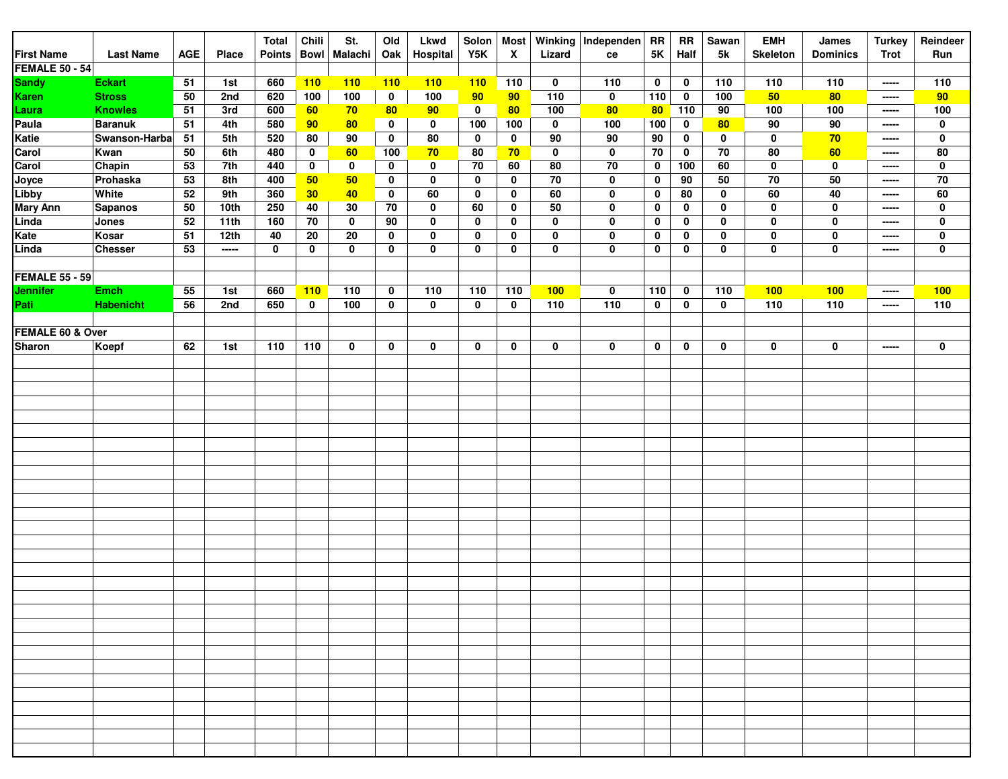|                       |                  |            |       | <b>Total</b>  | Chili       | St.             | Old         | <b>Lkwd</b> | Solon | <b>Most</b> |             | Winking Independen | <b>RR</b>   | <b>RR</b>   | Sawan | <b>EMH</b>      | James           | <b>Turkey</b> | Reindeer    |
|-----------------------|------------------|------------|-------|---------------|-------------|-----------------|-------------|-------------|-------|-------------|-------------|--------------------|-------------|-------------|-------|-----------------|-----------------|---------------|-------------|
| <b>First Name</b>     | <b>Last Name</b> | <b>AGE</b> | Place | <b>Points</b> | <b>Bowl</b> | Malachi         | Oak         | Hospital    | Y5K   | X           | Lizard      | ce                 | $5K$        | Half        | 5k    | <b>Skeleton</b> | <b>Dominics</b> | <b>Trot</b>   | Run         |
| <b>FEMALE 50 - 54</b> |                  |            |       |               |             |                 |             |             |       |             |             |                    |             |             |       |                 |                 |               |             |
| <b>Sandy</b>          | <b>Eckart</b>    | 51         | 1st   | 660           | 110         | 110             | 110         | 110         | 110   | 110         | 0           | 110                | $\mathbf 0$ | $\mathbf 0$ | 110   | 110             | 110             | -----         | 110         |
| Karen                 | <b>Stross</b>    | 50         | 2nd   | 620           | 100         | 100             | $\mathbf 0$ | 100         | 90    | 90          | 110         | $\mathbf 0$        | 110         | $\mathbf 0$ | 100   | 50              | 80              | -----         | 90          |
| Laura                 | <b>Knowles</b>   | 51         | 3rd   | 600           | 60          | 70              | 80          | 90          | 0     | 80          | 100         | 80                 | 80          | 110         | 90    | 100             | 100             | -----         | 100         |
| Paula                 | <b>Baranuk</b>   | 51         | 4th   | 580           | 90          | 80              | 0           | 0           | 100   | 100         | 0           | 100                | 100         | $\mathbf 0$ | 80    | 90              | 90              | -----         | $\mathbf 0$ |
| Katie                 | Swanson-Harba    | 51         | 5th   | 520           | 80          | 90              | $\mathbf 0$ | ${\bf 80}$  | 0     | 0           | 90          | 90                 | $90\,$      | 0           | 0     | 0               | 70              | -----         | $\mathbf 0$ |
| Carol                 | Kwan             | 50         | 6th   | 480           | 0           | 60              | 100         | 70          | 80    | 70          | $\mathbf 0$ | $\mathbf 0$        | 70          | 0           | 70    | 80              | 60              | -----         | 80          |
| Carol                 | Chapin           | 53         | 7th   | 440           | 0           | $\mathbf 0$     | $\mathbf 0$ | $\mathbf 0$ | 70    | 60          | 80          | 70                 | $\mathbf 0$ | 100         | 60    | $\mathbf 0$     | $\pmb{0}$       | -----         | $\mathbf 0$ |
| Joyce                 | Prohaska         | 53         | 8th   | 400           | 50          | 50              | 0           | $\mathbf 0$ | 0     | 0           | 70          | 0                  | $\mathbf 0$ | 90          | 50    | 70              | 50              | -----         | $70\,$      |
| Libby                 | White            | 52         | 9th   | 360           | 30          | 40              | 0           | 60          | 0     | 0           | 60          | $\mathbf 0$        | $\mathbf 0$ | 80          | 0     | 60              | 40              | -----         | 60          |
| <b>Mary Ann</b>       | <b>Sapanos</b>   | 50         | 10th  | 250           | 40          | 30              | 70          | 0           | 60    | 0           | 50          | $\mathbf 0$        | 0           | 0           | 0     | 0               | 0               | -----         | 0           |
| Linda                 | Jones            | 52         | 11th  | 160           | 70          | $\mathbf 0$     | 90          | $\mathbf 0$ | 0     | 0           | 0           | 0                  | 0           | 0           | 0     | $\mathbf 0$     | 0               | -----         | $\mathbf 0$ |
| Kate                  | Kosar            | 51         | 12th  | 40            | 20          | $\overline{20}$ | $\mathbf 0$ | 0           | 0     | 0           | 0           | $\mathbf 0$        | $\mathbf 0$ | 0           | 0     | $\mathbf 0$     | $\pmb{0}$       | -----         | $\mathbf 0$ |
| Linda                 | <b>Chesser</b>   | 53         | ----- | 0             | 0           | 0               | $\mathbf 0$ | 0           | 0     | 0           | 0           | 0                  | $\mathbf 0$ | 0           | 0     | $\mathbf 0$     | $\pmb{0}$       | -----         | 0           |
|                       |                  |            |       |               |             |                 |             |             |       |             |             |                    |             |             |       |                 |                 |               |             |
| <b>FEMALE 55 - 59</b> |                  |            |       |               |             |                 |             |             |       |             |             |                    |             |             |       |                 |                 |               |             |
| Jennifer              | <b>Emch</b>      | 55         | 1st   | 660           | 110         | 110             | $\mathbf 0$ | 110         | 110   | 110         | 100         | 0                  | 110         | 0           | 110   | 100             | 100             | -----         | 100         |
| Pati                  | <b>Habenicht</b> | 56         | 2nd   | 650           | $\mathbf 0$ | 100             | $\mathbf 0$ | $\mathbf 0$ | 0     | 0           | 110         | $\overline{110}$   | $\mathbf 0$ | 0           | 0     | 110             | 110             | -----         | 110         |
|                       |                  |            |       |               |             |                 |             |             |       |             |             |                    |             |             |       |                 |                 |               |             |
| FEMALE 60 & Over      |                  |            |       |               |             |                 |             |             |       |             |             |                    |             |             |       |                 |                 |               |             |
| <b>Sharon</b>         | Koepf            | 62         | 1st   | 110           | 110         | 0               | $\mathbf 0$ | 0           | 0     | 0           | 0           | 0                  | $\mathbf 0$ | 0           | 0     | 0               | 0               | -----         | $\mathbf 0$ |
|                       |                  |            |       |               |             |                 |             |             |       |             |             |                    |             |             |       |                 |                 |               |             |
|                       |                  |            |       |               |             |                 |             |             |       |             |             |                    |             |             |       |                 |                 |               |             |
|                       |                  |            |       |               |             |                 |             |             |       |             |             |                    |             |             |       |                 |                 |               |             |
|                       |                  |            |       |               |             |                 |             |             |       |             |             |                    |             |             |       |                 |                 |               |             |
|                       |                  |            |       |               |             |                 |             |             |       |             |             |                    |             |             |       |                 |                 |               |             |
|                       |                  |            |       |               |             |                 |             |             |       |             |             |                    |             |             |       |                 |                 |               |             |
|                       |                  |            |       |               |             |                 |             |             |       |             |             |                    |             |             |       |                 |                 |               |             |
|                       |                  |            |       |               |             |                 |             |             |       |             |             |                    |             |             |       |                 |                 |               |             |
|                       |                  |            |       |               |             |                 |             |             |       |             |             |                    |             |             |       |                 |                 |               |             |
|                       |                  |            |       |               |             |                 |             |             |       |             |             |                    |             |             |       |                 |                 |               |             |
|                       |                  |            |       |               |             |                 |             |             |       |             |             |                    |             |             |       |                 |                 |               |             |
|                       |                  |            |       |               |             |                 |             |             |       |             |             |                    |             |             |       |                 |                 |               |             |
|                       |                  |            |       |               |             |                 |             |             |       |             |             |                    |             |             |       |                 |                 |               |             |
|                       |                  |            |       |               |             |                 |             |             |       |             |             |                    |             |             |       |                 |                 |               |             |
|                       |                  |            |       |               |             |                 |             |             |       |             |             |                    |             |             |       |                 |                 |               |             |
|                       |                  |            |       |               |             |                 |             |             |       |             |             |                    |             |             |       |                 |                 |               |             |
|                       |                  |            |       |               |             |                 |             |             |       |             |             |                    |             |             |       |                 |                 |               |             |
|                       |                  |            |       |               |             |                 |             |             |       |             |             |                    |             |             |       |                 |                 |               |             |
|                       |                  |            |       |               |             |                 |             |             |       |             |             |                    |             |             |       |                 |                 |               |             |
|                       |                  |            |       |               |             |                 |             |             |       |             |             |                    |             |             |       |                 |                 |               |             |
|                       |                  |            |       |               |             |                 |             |             |       |             |             |                    |             |             |       |                 |                 |               |             |
|                       |                  |            |       |               |             |                 |             |             |       |             |             |                    |             |             |       |                 |                 |               |             |
|                       |                  |            |       |               |             |                 |             |             |       |             |             |                    |             |             |       |                 |                 |               |             |
|                       |                  |            |       |               |             |                 |             |             |       |             |             |                    |             |             |       |                 |                 |               |             |
|                       |                  |            |       |               |             |                 |             |             |       |             |             |                    |             |             |       |                 |                 |               |             |
|                       |                  |            |       |               |             |                 |             |             |       |             |             |                    |             |             |       |                 |                 |               |             |
|                       |                  |            |       |               |             |                 |             |             |       |             |             |                    |             |             |       |                 |                 |               |             |
|                       |                  |            |       |               |             |                 |             |             |       |             |             |                    |             |             |       |                 |                 |               |             |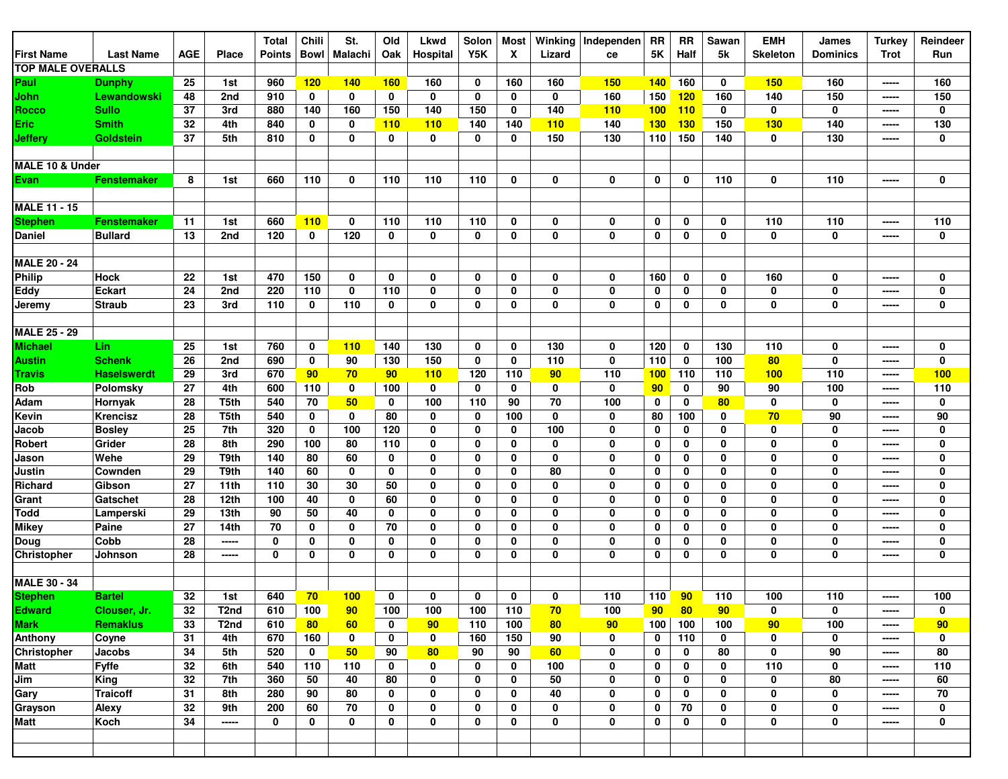|                          |                    |                 |                   | <b>Total</b>  | Chili       | St.            | Old             | <b>Lkwd</b> | Solon       | <b>Most</b> | Winking | Independen  | <b>RR</b>   | <b>RR</b>   | Sawan       | <b>EMH</b>      | James           | <b>Turkey</b> | Reindeer        |
|--------------------------|--------------------|-----------------|-------------------|---------------|-------------|----------------|-----------------|-------------|-------------|-------------|---------|-------------|-------------|-------------|-------------|-----------------|-----------------|---------------|-----------------|
| <b>First Name</b>        | <b>Last Name</b>   | <b>AGE</b>      | Place             | <b>Points</b> | <b>Bowl</b> | <b>Malachi</b> | Oak             | Hospital    | Y5K         | X           | Lizard  | ce          | 5K          | Half        | 5k          | <b>Skeleton</b> | <b>Dominics</b> | <b>Trot</b>   | Run             |
| <b>TOP MALE OVERALLS</b> |                    |                 |                   |               |             |                |                 |             |             |             |         |             |             |             |             |                 |                 |               |                 |
| Paul                     | <b>Dunphy</b>      | 25              | 1st               | 960           | 120         | 140            | <b>160</b>      | 160         | 0           | 160         | 160     | <b>150</b>  | <b>140</b>  | 160         | 0           | 150             | 160             | -----         | 160             |
| John                     | Lewandowski        | 48              | 2nd               | 910           | $\mathbf 0$ | 0              | $\mathbf 0$     | $\mathbf 0$ | $\mathbf 0$ | 0           | 0       | 160         | 150         | 120         | 160         | 140             | 150             | -----         | 150             |
| <b>Rocco</b>             | <b>Sullo</b>       | 37              | 3rd               | 880           | 140         | 160            | 150             | 140         | 150         | 0           | 140     | 110         | 100         | 110         | 0           | $\mathbf 0$     | 0               | -----         | 0               |
| Eric                     | <b>Smith</b>       | 32              | 4th               | 840           | 0           | 0              | <b>110</b>      | <b>110</b>  | 140         | 140         | 110     | 140         | <b>130</b>  | <b>130</b>  | 150         | 130             | 140             | -----         | 130             |
| <b>Jeffery</b>           | <b>Goldstein</b>   | 37              | 5th               | 810           | 0           | 0              | 0               | 0           | 0           | 0           | 150     | 130         | 110         | 150         | 140         | $\mathbf 0$     | 130             | -----         | 0               |
|                          |                    |                 |                   |               |             |                |                 |             |             |             |         |             |             |             |             |                 |                 |               |                 |
| MALE 10 & Under          |                    |                 |                   |               |             |                |                 |             |             |             |         |             |             |             |             |                 |                 |               |                 |
| Evan                     | <b>Fenstemaker</b> | 8               | 1st               | 660           | 110         | 0              | 110             | 110         | 110         | 0           | 0       | $\mathbf 0$ | 0           | 0           | 110         | $\mathbf 0$     | 110             | -----         | 0               |
|                          |                    |                 |                   |               |             |                |                 |             |             |             |         |             |             |             |             |                 |                 |               |                 |
| <b>MALE 11 - 15</b>      |                    |                 |                   |               |             |                |                 |             |             |             |         |             |             |             |             |                 |                 |               |                 |
| <b>Stephen</b>           | <b>Fenstemaker</b> | 11              | 1st               | 660           | 110         | 0              | 110             | 110         | 110         | 0           | 0       | $\mathbf 0$ | 0           | 0           | 0           | 110             | 110             | -----         | 110             |
| Daniel                   | <b>Bullard</b>     | 13              | 2nd               | 120           | 0           | 120            | 0               | $\mathbf 0$ | 0           | 0           | 0       | $\mathbf 0$ | 0           | 0           | 0           | $\mathbf 0$     | 0               | -----         | 0               |
|                          |                    |                 |                   |               |             |                |                 |             |             |             |         |             |             |             |             |                 |                 |               |                 |
| <b>MALE 20 - 24</b>      |                    |                 |                   |               |             |                |                 |             |             |             |         |             |             |             |             |                 |                 |               |                 |
| Philip                   | <b>Hock</b>        | 22              | 1st               | 470           | 150         | 0              | 0               | 0           | 0           | 0           | 0       | 0           | 160         | 0           | 0           | 160             | 0               | -----         | 0               |
| Eddy                     | <b>Eckart</b>      | 24              | 2nd               | 220           | 110         | 0              | 110             | 0           | 0           | 0           | 0       | 0           | 0           | 0           | 0           | $\mathbf 0$     | 0               | -----         | 0               |
| Jeremy                   | <b>Straub</b>      | 23              | 3rd               | 110           | 0           | 110            | 0               | 0           | 0           | 0           | 0       | $\mathbf 0$ | 0           | 0           | 0           | 0               | $\pmb{0}$       | -----         | 0               |
|                          |                    |                 |                   |               |             |                |                 |             |             |             |         |             |             |             |             |                 |                 |               |                 |
| <b>MALE 25 - 29</b>      |                    |                 |                   |               |             |                |                 |             |             |             |         |             |             |             |             |                 |                 |               |                 |
| Michael                  | Lin.               | 25              | 1st               | 760           | 0           | 110            | 140             | 130         | 0           | 0           | 130     | $\mathbf 0$ | 120         | $\mathbf 0$ | 130         | 110             | 0               | -----         | 0               |
| <b>Austin</b>            | <b>Schenk</b>      | 26              | 2nd               | 690           | 0           | 90             | 130             | 150         | 0           | 0           | 110     | 0           | 110         | 0           | 100         | 80              | 0               | -----         | 0               |
| Travis                   | <b>Haselswerdt</b> | 29              | 3rd               | 670           | 90          | 70             | 90 <sub>o</sub> | 110         | 120         | 110         | 90      | 110         | 100         | 110         | 110         | 100             | 110             | -----         | 100             |
| Rob                      | Polomsky           | 27              | 4th               | 600           | 110         | 0              | 100             | $\mathbf 0$ | 0           | 0           | 0       | $\mathbf 0$ | 90          | $\mathbf 0$ | 90          | 90              | 100             | -----         | 110             |
| Adam                     | Hornyak            | 28              | T5th              | 540           | 70          | 50             | 0               | 100         | 110         | 90          | 70      | 100         | 0           | 0           | 80          | 0               | $\mathbf 0$     | $- - - - -$   | 0               |
| Kevin                    | Krencisz           | 28              | T5th              | 540           | 0           | 0              | 80              | 0           | 0           | 100         | 0       | $\mathbf 0$ | 80          | 100         | 0           | 70              | 90              | -----         | 90              |
| Jacob                    | <b>Bosley</b>      | 25              | 7th               | 320           | 0           | 100            | 120             | 0           | 0           | 0           | 100     | 0           | 0           | 0           | 0           | 0               | 0               | -----         | 0               |
| Robert                   | Grider             | 28              | 8th               | 290           | 100         | 80             | 110             | 0           | 0           | 0           | 0       | 0           | 0           | 0           | 0           | 0               | 0               | -----         | 0               |
| Jason                    | Wehe               | 29              | T9th              | 140           | 80          | 60             | 0               | 0           | 0           | 0           | 0       | $\mathbf 0$ | 0           | 0           | 0           | 0               | 0               | -----         | 0               |
| Justin                   | Cownden            | 29              | T9th              | 140           | 60          | 0              | 0               | 0           | 0           | 0           | 80      | 0           | 0           | 0           | 0           | $\mathbf 0$     | $\mathbf 0$     | -----         | 0               |
| Richard                  | Gibson             | 27              | 11th              | 110           | 30          | 30             | 50              | 0           | 0           | 0           | 0       | 0           | 0           | 0           | 0           | 0               | 0               | -----         | 0               |
| Grant                    | Gatschet           | 28              | 12th              | 100           | 40          | 0              | 60              | $\mathbf 0$ | 0           | 0           | 0       | $\mathbf 0$ | 0           | 0           | $\mathbf 0$ | 0               | $\mathbf 0$     | $- - - - -$   | 0               |
| <b>Todd</b>              | Lamperski          | 29              | 13th              | 90            | 50          | 40             | 0               | 0           | 0           | 0           | 0       | 0           | 0           | 0           | 0           | 0               | 0               | -----         | 0               |
| <b>Mikey</b>             | Paine              | 27              | 14th              | 70            | 0           | 0              | 70              | 0           | 0           | 0           | 0       | 0           | 0           | 0           | 0           | 0               | 0               | -----         | 0               |
| Doug                     | Cobb               | 28              | -----             | $\mathbf 0$   | 0           | 0              | 0               | $\mathbf 0$ | 0           | 0           | 0       | $\mathbf 0$ | $\mathbf 0$ | 0           | $\mathbf 0$ | 0               | 0               | -----         | 0               |
| <b>Christopher</b>       | Johnson            | 28              | -----             | $\mathbf 0$   | 0           | 0              | 0               | 0           | 0           | 0           | 0       | $\bf{0}$    | $\mathbf 0$ | 0           | 0           | 0               | $\mathbf 0$     | $- - - - -$   | 0               |
|                          |                    |                 |                   |               |             |                |                 |             |             |             |         |             |             |             |             |                 |                 |               |                 |
| <b>MALE 30 - 34</b>      |                    |                 |                   |               |             |                |                 |             |             |             |         |             |             |             |             |                 |                 |               |                 |
| <b>Stephen</b>           | <b>Bartel</b>      | 32              | 1st               | 640           | 70          | 100            | 0               | 0           | 0           | 0           | 0       | 110         | 110         | 90          | 110         | 100             | 110             | -----         | 100             |
| <b>Edward</b>            | Clouser, Jr.       | 32              | T <sub>2</sub> nd | 610           | 100         | 90             | 100             | 100         | 100         | 110         | 70      | 100         | 90          | 80          | 90          | 0               | 0               | -----         | 0               |
| <b>Mark</b>              | <b>Remaklus</b>    | 33              | T <sub>2</sub> nd | 610           | 80          | 60             | $\mathbf 0$     | 90          | 110         | 100         | 80      | 90          | 100         | 100         | 100         | 90              | 100             | -----         | 90              |
| <b>Anthony</b>           | Coyne              | 31              | 4th               | 670           | 160         | $\mathbf 0$    | $\mathbf 0$     | $\mathbf 0$ | 160         | 150         | 90      | 0           | $\mathbf 0$ | 110         | 0           | 0               | 0               | -----         | 0               |
| <b>Christopher</b>       | Jacobs             | 34              | 5th               | 520           | $\mathbf 0$ | 50             | 90              | 80          | 90          | 90          | 60      | $\mathbf 0$ | 0           | 0           | 80          | 0               | 90              | -----         | 80              |
| Matt                     | Fyffe              | 32              | 6th               | 540           | 110         | 110            | 0               | 0           | 0           | 0           | 100     | 0           | 0           | 0           | 0           | 110             | 0               | -----         | 110             |
| Jim                      | <b>King</b>        | 32              | 7th               | 360           | 50          | 40             | 80              | 0           | 0           | 0           | 50      | 0           | $\mathbf 0$ | 0           | $\mathbf 0$ | 0               | 80              | -----         | 60              |
| Gary                     | <b>Traicoff</b>    | $\overline{31}$ | 8th               | 280           | 90          | 80             | $\mathbf 0$     | 0           | 0           | 0           | 40      | $\mathbf 0$ | 0           | 0           | $\mathbf 0$ | 0               | 0               | -----         | $\overline{70}$ |
| Grayson                  | Alexy              | 32              | 9th               | 200           | 60          | 70             | 0               | 0           | 0           | 0           | 0       | 0           | 0           | 70          | 0           | 0               | 0               | -----         | 0               |
| <b>Matt</b>              | Koch               | 34              | -----             | $\mathbf 0$   | 0           | 0              | 0               | $\mathbf 0$ | 0           | 0           | 0       | 0           | $\mathbf 0$ | 0           | 0           | 0               | 0               | -----         | 0               |
|                          |                    |                 |                   |               |             |                |                 |             |             |             |         |             |             |             |             |                 |                 |               |                 |
|                          |                    |                 |                   |               |             |                |                 |             |             |             |         |             |             |             |             |                 |                 |               |                 |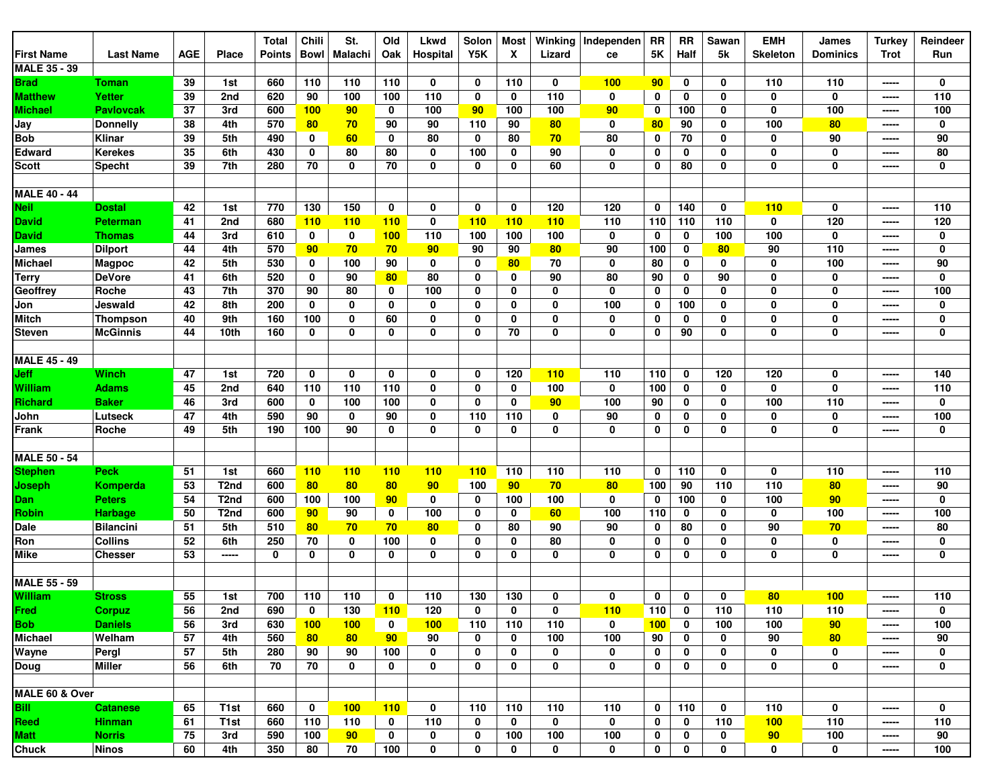|                     |                  |            |                   | <b>Total</b>  | Chili           | St.            | Old          | Lkwd            | Solon       | <b>Most</b> | Winking  | Independen  | <b>RR</b>     | <b>RR</b>    | Sawan        | <b>EMH</b>      | James           | <b>Turkey</b>                                                                                                                                                                                                                                                                                                                                                                                                                                                                                | Reindeer    |
|---------------------|------------------|------------|-------------------|---------------|-----------------|----------------|--------------|-----------------|-------------|-------------|----------|-------------|---------------|--------------|--------------|-----------------|-----------------|----------------------------------------------------------------------------------------------------------------------------------------------------------------------------------------------------------------------------------------------------------------------------------------------------------------------------------------------------------------------------------------------------------------------------------------------------------------------------------------------|-------------|
| First Name          | <b>Last Name</b> | <b>AGE</b> | <b>Place</b>      | <b>Points</b> | <b>Bowl</b>     | <b>Malachi</b> | Oak          | Hospital        | Y5K         | X           | Lizard   | ce          | $5\mathrm{K}$ | Half         | 5k           | <b>Skeleton</b> | <b>Dominics</b> | <b>Trot</b>                                                                                                                                                                                                                                                                                                                                                                                                                                                                                  | Run         |
| <b>MALE 35 - 39</b> |                  |            |                   |               |                 |                |              |                 |             |             |          |             |               |              |              |                 |                 |                                                                                                                                                                                                                                                                                                                                                                                                                                                                                              |             |
| Brad                | Toman            | 39         | 1st               | 660           | 110             | 110            | 110          | 0               | 0           | 110         | 0        | 100         | 90            | 0            | 0            | 110             | 110             | -----                                                                                                                                                                                                                                                                                                                                                                                                                                                                                        | 0           |
| <b>Matthew</b>      | Yetter           | 39         | 2nd               | 620           | 90              | 100            | 100          | 110             | $\mathbf 0$ | 0           | 110      | 0           | 0             | 0            | 0            | $\mathbf 0$     | 0               | -----                                                                                                                                                                                                                                                                                                                                                                                                                                                                                        | 110         |
| <b>Michael</b>      | <b>Pavlovcak</b> | 37         | 3rd               | 600           | 100             | 90             | 0            | 100             | 90          | 100         | 100      | 90          | 0             | 100          | 0            | $\mathbf 0$     | 100             | -----                                                                                                                                                                                                                                                                                                                                                                                                                                                                                        | 100         |
| Jay                 | <b>Donnelly</b>  | 38         | 4th               | 570           | 80              | 70             | 90           | 90              | 110         | 90          | 80       | 0           | 80            | 90           | 0            | 100             | 80              | -----                                                                                                                                                                                                                                                                                                                                                                                                                                                                                        | 0           |
| <b>Bob</b>          | Klinar           | 39         | 5th               | 490           | 0               | 60             | 0            | 80              | 0           | 80          | 70       | 80          | 0             | 70           | 0            | 0               | 90              | -----                                                                                                                                                                                                                                                                                                                                                                                                                                                                                        | 90          |
| <b>Edward</b>       | <b>Kerekes</b>   | 35         | 6th               | 430           | 0               | 80             | 80           | 0               | 100         | 0           | 90       | $\mathbf 0$ | 0             | 0            | 0            | $\mathbf 0$     | 0               | -----                                                                                                                                                                                                                                                                                                                                                                                                                                                                                        | 80          |
| Scott               | <b>Specht</b>    | 39         | 7th               | 280           | 70              | $\mathbf 0$    | 70           | 0               | 0           | 0           | 60       | 0           | 0             | 80           | 0            | $\mathbf 0$     | 0               | -----                                                                                                                                                                                                                                                                                                                                                                                                                                                                                        | $\mathbf 0$ |
|                     |                  |            |                   |               |                 |                |              |                 |             |             |          |             |               |              |              |                 |                 |                                                                                                                                                                                                                                                                                                                                                                                                                                                                                              |             |
| <b>MALE 40 - 44</b> |                  |            |                   |               |                 |                |              |                 |             |             |          |             |               |              |              |                 |                 |                                                                                                                                                                                                                                                                                                                                                                                                                                                                                              |             |
| Neil                | <b>Dostal</b>    | 42         | 1st               | 770           | 130             | 150            | 0            | 0               | $\mathbf 0$ | 0           | 120      | 120         | 0             | 140          | $\mathbf 0$  | 110             | $\mathbf 0$     | -----                                                                                                                                                                                                                                                                                                                                                                                                                                                                                        | 110         |
| David               | <b>Peterman</b>  | 41         | 2nd               | 680           | 110             | 110            | <b>110</b>   | $\mathbf 0$     | 110         | 110         | 110      | 110         | 110           | 110          | 110          | 0               | 120             | $\begin{array}{c} \multicolumn{3}{c} {\textbf{1}} & \multicolumn{3}{c} {\textbf{2}} & \multicolumn{3}{c} {\textbf{3}} & \multicolumn{3}{c} {\textbf{4}} \\ \multicolumn{3}{c} {\textbf{5}} & \multicolumn{3}{c} {\textbf{6}} & \multicolumn{3}{c} {\textbf{7}} & \multicolumn{3}{c} {\textbf{8}} & \multicolumn{3}{c} {\textbf{9}} \\ \multicolumn{3}{c} {\textbf{1}} & \multicolumn{3}{c} {\textbf{1}} & \multicolumn{3}{c} {\textbf{1}} & \multicolumn{3}{c} {\textbf{1}} & \multicolumn{$ | 120         |
| David               | Thomas           | 44         | 3rd               | 610           | 0               | 0              | 100          | 110             | 100         | 100         | 100      | 0           | 0             | 0            | 100          | 100             | 0               | -----                                                                                                                                                                                                                                                                                                                                                                                                                                                                                        | $\pmb{0}$   |
| James               | <b>Dilport</b>   | 44         | 4th               | 570           | 90 <sub>o</sub> | 70             | 70           | 90 <sub>o</sub> | 90          | 90          | 80       | 90          | 100           | 0            | 80           | 90              | 110             | -----                                                                                                                                                                                                                                                                                                                                                                                                                                                                                        | $\mathbf 0$ |
| Michael             | <b>Magpoc</b>    | 42         | 5th               | 530           | 0               | 100            | 90           | 0               | 0           | 80          | 70       | $\mathbf 0$ | 80            | 0            | 0            | $\mathbf 0$     | 100             | $- - - - -$                                                                                                                                                                                                                                                                                                                                                                                                                                                                                  | 90          |
| Terry               | <b>DeVore</b>    | 41         | 6th               | 520           | 0               | 90             | 80           | 80              | 0           | 0           | 90       | 80          | 90            | 0            | 90           | 0               | 0               | -----                                                                                                                                                                                                                                                                                                                                                                                                                                                                                        | $\mathbf 0$ |
| Geoffrey            | Roche            | 43         | 7th               | 370           | 90              | 80             | 0            | 100             | 0           | 0           | 0        | $\mathbf 0$ | 0             | 0            | 0            | $\mathbf 0$     | 0               | -----                                                                                                                                                                                                                                                                                                                                                                                                                                                                                        | 100         |
| Jon                 | Jeswald          | 42         | 8th               | 200           | 0               | $\mathbf 0$    | 0            | 0               | 0           | 0           | 0        | 100         | 0             | 100          | 0            | $\mathbf 0$     | $\bf{0}$        | -----                                                                                                                                                                                                                                                                                                                                                                                                                                                                                        | 0           |
| <b>Mitch</b>        | Thompson         | 40         | 9th               | 160           | 100             | $\mathbf 0$    | 60           | $\mathbf 0$     | 0           | 0           | 0        | 0           | 0             | 0            | 0            | $\mathbf 0$     | 0               | -----                                                                                                                                                                                                                                                                                                                                                                                                                                                                                        | 0           |
| Steven              | <b>McGinnis</b>  | 44         | 10th              | 160           | 0               | 0              | 0            | 0               | 0           | 70          | 0        | 0           | 0             | 90           | 0            | 0               | 0               | -----                                                                                                                                                                                                                                                                                                                                                                                                                                                                                        | 0           |
|                     |                  |            |                   |               |                 |                |              |                 |             |             |          |             |               |              |              |                 |                 |                                                                                                                                                                                                                                                                                                                                                                                                                                                                                              |             |
| <b>MALE 45 - 49</b> |                  |            |                   |               |                 |                |              |                 |             |             |          |             |               |              |              |                 |                 |                                                                                                                                                                                                                                                                                                                                                                                                                                                                                              |             |
| Jeff                | Winch            | 47         | 1st               | 720           | $\mathbf 0$     | $\mathbf 0$    | 0            | 0               | $\mathbf 0$ | 120         | 110      | 110         | 110           | $\mathbf 0$  | 120          | 120             | 0               | -----                                                                                                                                                                                                                                                                                                                                                                                                                                                                                        | 140         |
| William             | <b>Adams</b>     | 45         | 2nd               | 640           | 110             | 110            | 110          | 0               | 0           | 0           | 100      | $\mathbf 0$ | 100           | 0            | 0            | $\mathbf 0$     | $\mathbf 0$     | -----                                                                                                                                                                                                                                                                                                                                                                                                                                                                                        | 110         |
| Richard             | <b>Baker</b>     | 46         | 3rd               | 600           | 0               | 100            | 100          | 0               | 0           | 0           | 90       | 100         | 90            | 0            | 0            | 100             | 110             | -----                                                                                                                                                                                                                                                                                                                                                                                                                                                                                        | 0           |
| John                | Lutseck          | 47         | 4th               | 590           | 90              | $\mathbf 0$    | 90           | $\mathbf 0$     | 110         | 110         | 0        | 90          | 0             | 0            | 0            | $\mathbf 0$     | 0               | -----                                                                                                                                                                                                                                                                                                                                                                                                                                                                                        | 100         |
| Frank               | Roche            | 49         | 5th               | 190           | 100             | 90             | 0            | 0               | 0           | 0           | 0        | 0           | 0             | 0            | 0            | 0               | 0               | -----                                                                                                                                                                                                                                                                                                                                                                                                                                                                                        | 0           |
|                     |                  |            |                   |               |                 |                |              |                 |             |             |          |             |               |              |              |                 |                 |                                                                                                                                                                                                                                                                                                                                                                                                                                                                                              |             |
| <b>MALE 50 - 54</b> |                  |            |                   |               |                 |                |              |                 |             |             |          |             |               |              |              |                 |                 |                                                                                                                                                                                                                                                                                                                                                                                                                                                                                              |             |
| <b>Stephen</b>      | <b>Peck</b>      | 51         | 1st               | 660           | 110             | 110            | <b>110</b>   | <b>110</b>      | 110         | 110         | 110      | 110         | 0             | 110          | 0            | 0               | 110             | -----                                                                                                                                                                                                                                                                                                                                                                                                                                                                                        | 110         |
| Joseph              | Komperda         | 53         | T <sub>2nd</sub>  | 600           | 80              | 80             | 80           | 90              | 100         | 90          | 70       | 80          | 100           | 90           | 110          | 110             | 80              | -----                                                                                                                                                                                                                                                                                                                                                                                                                                                                                        | 90          |
| Dan                 | <b>Peters</b>    | 54         | T <sub>2</sub> nd | 600           | 100             | 100            | 90           | 0               | 0           | 100         | 100      | 0           | 0             | 100          | 0            | 100             | 90              | -----                                                                                                                                                                                                                                                                                                                                                                                                                                                                                        | 0           |
| <b>Robin</b>        | <b>Harbage</b>   | 50         | T <sub>2</sub> nd | 600           | 90              | 90             | 0            | 100             | 0           | 0           | 60       | 100         | 110           | 0            | 0            | 0               | 100             | $---$                                                                                                                                                                                                                                                                                                                                                                                                                                                                                        | 100         |
| Dale                | <b>Bilancini</b> | 51         | 5th               | 510           | 80              | 70             | 70           | 80              | 0           | 80          | 90       | 90          | 0             | 80           | 0            | 90              | 70              | -----                                                                                                                                                                                                                                                                                                                                                                                                                                                                                        | 80          |
| Ron                 | <b>Collins</b>   | 52         | 6th               | 250           | 70              | 0              | 100          | 0               | 0           | 0           | 80       | $\mathbf 0$ | 0             | 0            | 0            | $\mathbf 0$     | 0               | -----                                                                                                                                                                                                                                                                                                                                                                                                                                                                                        | 0           |
| Mike                | Chesser          | 53         | -----             | $\mathbf 0$   | 0               | $\mathbf 0$    | 0            | 0               | 0           | 0           | 0        | 0           | 0             | 0            | 0            | $\mathbf 0$     | 0               | -----                                                                                                                                                                                                                                                                                                                                                                                                                                                                                        | 0           |
|                     |                  |            |                   |               |                 |                |              |                 |             |             |          |             |               |              |              |                 |                 |                                                                                                                                                                                                                                                                                                                                                                                                                                                                                              |             |
| <b>MALE 55 - 59</b> |                  |            |                   |               |                 |                |              |                 |             |             |          |             |               |              |              |                 |                 |                                                                                                                                                                                                                                                                                                                                                                                                                                                                                              |             |
| <b>William</b>      | <b>Stross</b>    | 55         | 1st               | 700           | 110             | 110            | $\mathbf{0}$ | 110             | 130         | 130         | $\bf{0}$ | $\bf{0}$    | 0             | $\mathbf{0}$ | $\mathbf{0}$ | 80              | 100             | -----                                                                                                                                                                                                                                                                                                                                                                                                                                                                                        | 110         |
| <b>Fred</b>         | <b>Corpuz</b>    | 56         | 2nd               | 690           | 0               | 130            | 110          | 120             | 0           | 0           | 0        | 110         | 110           | $\mathbf 0$  | 110          | 110             | 110             | -----                                                                                                                                                                                                                                                                                                                                                                                                                                                                                        | 0           |
| <b>Bob</b>          | <b>Daniels</b>   | 56         | 3rd               | 630           | 100             | 100            | 0            | 100             | 110         | 110         | 110      | 0           | 100           | 0            | 100          | 100             | 90              | -----                                                                                                                                                                                                                                                                                                                                                                                                                                                                                        | 100         |
| <b>Michael</b>      | Welham           | 57         | 4th               | 560           | 80              | 80             | 90           | 90              | 0           | 0           | 100      | 100         | 90            | 0            | 0            | 90              | 80              | -----                                                                                                                                                                                                                                                                                                                                                                                                                                                                                        | 90          |
| Wayne               | Pergl            | 57         | 5th               | 280           | 90              | 90             | 100          | 0               | 0           | 0           | 0        | 0           | 0             | 0            | 0            | 0               | 0               | -----                                                                                                                                                                                                                                                                                                                                                                                                                                                                                        | 0           |
| Doug                | <b>Miller</b>    | 56         | 6th               | 70            | 70              | $\bf{0}$       | 0            | 0               | 0           | 0           | 0        | 0           | $\mathbf 0$   | 0            | 0            | 0               | 0               | -----                                                                                                                                                                                                                                                                                                                                                                                                                                                                                        | 0           |
|                     |                  |            |                   |               |                 |                |              |                 |             |             |          |             |               |              |              |                 |                 |                                                                                                                                                                                                                                                                                                                                                                                                                                                                                              |             |
| MALE 60 & Over      |                  |            |                   |               |                 |                |              |                 |             |             |          |             |               |              |              |                 |                 |                                                                                                                                                                                                                                                                                                                                                                                                                                                                                              |             |
| <b>Bill</b>         | <b>Catanese</b>  | 65         | T <sub>1st</sub>  | 660           | $\mathbf 0$     | 100            | 110          | 0               | 110         | 110         | 110      | 110         | $\mathbf 0$   | 110          | 0            | 110             | 0               | -----                                                                                                                                                                                                                                                                                                                                                                                                                                                                                        | $\mathbf 0$ |
| Reed                | <b>Hinman</b>    | 61         | T <sub>1st</sub>  | 660           | 110             | 110            | 0            | 110             | 0           | 0           | 0        | 0           | $\mathbf 0$   | 0            | 110          | 100             | 110             | -----                                                                                                                                                                                                                                                                                                                                                                                                                                                                                        | 110         |
| <b>Matt</b>         | <b>Norris</b>    | 75         | 3rd               | 590           | 100             | 90             | 0            | 0               | 0           | 100         | 100      | 100         | 0             | 0            | 0            | 90              | 100             | -----                                                                                                                                                                                                                                                                                                                                                                                                                                                                                        | 90          |
| <b>Chuck</b>        | <b>Ninos</b>     | 60         | 4th               | 350           | 80              | 70             | 100          | 0               | 0           | 0           | 0        | $\mathbf 0$ | 0             | 0            | 0            | $\mathbf 0$     | 0               | -----                                                                                                                                                                                                                                                                                                                                                                                                                                                                                        | 100         |